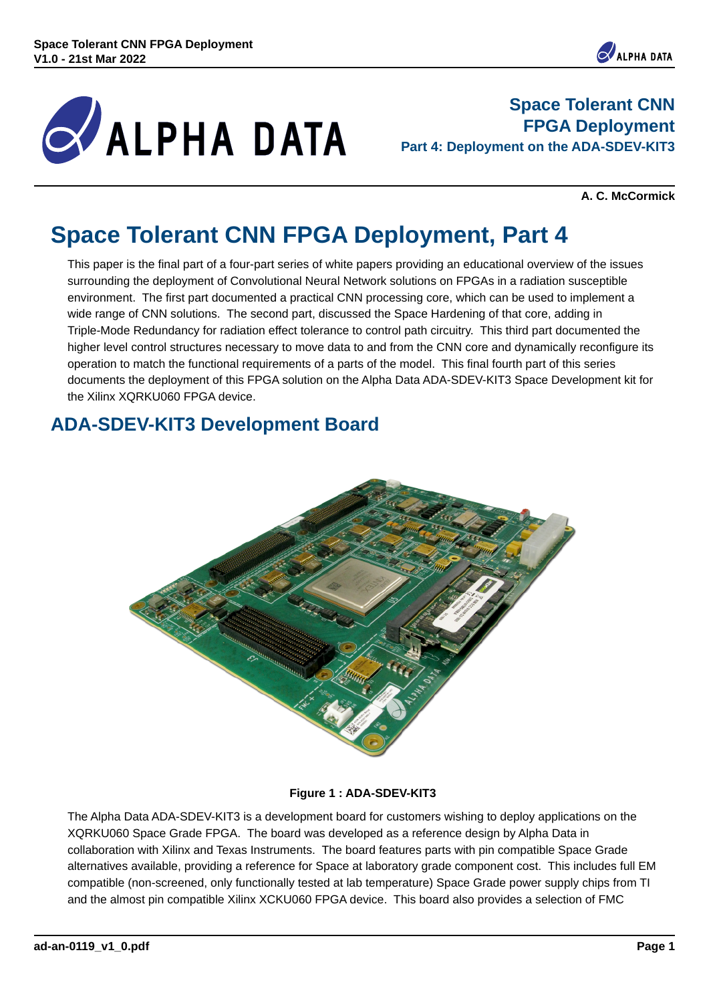

**Space Tolerant CNN FPGA Deployment Part 4: Deployment on the ADA-SDEV-KIT3**

**A. C. McCormick**

## **Space Tolerant CNN FPGA Deployment, Part 4**

This paper is the final part of a four-part series of white papers providing an educational overview of the issues surrounding the deployment of Convolutional Neural Network solutions on FPGAs in a radiation susceptible environment. The first part documented a practical CNN processing core, which can be used to implement a wide range of CNN solutions. The second part, discussed the Space Hardening of that core, adding in Triple-Mode Redundancy for radiation effect tolerance to control path circuitry. This third part documented the higher level control structures necessary to move data to and from the CNN core and dynamically reconfigure its operation to match the functional requirements of a parts of the model. This final fourth part of this series documents the deployment of this FPGA solution on the Alpha Data ADA-SDEV-KIT3 Space Development kit for the Xilinx XQRKU060 FPGA device.

#### **ADA-SDEV-KIT3 Development Board**



#### **Figure 1 : ADA-SDEV-KIT3**

The Alpha Data ADA-SDEV-KIT3 is a development board for customers wishing to deploy applications on the XQRKU060 Space Grade FPGA. The board was developed as a reference design by Alpha Data in collaboration with Xilinx and Texas Instruments. The board features parts with pin compatible Space Grade alternatives available, providing a reference for Space at laboratory grade component cost. This includes full EM compatible (non-screened, only functionally tested at lab temperature) Space Grade power supply chips from TI and the almost pin compatible Xilinx XCKU060 FPGA device. This board also provides a selection of FMC

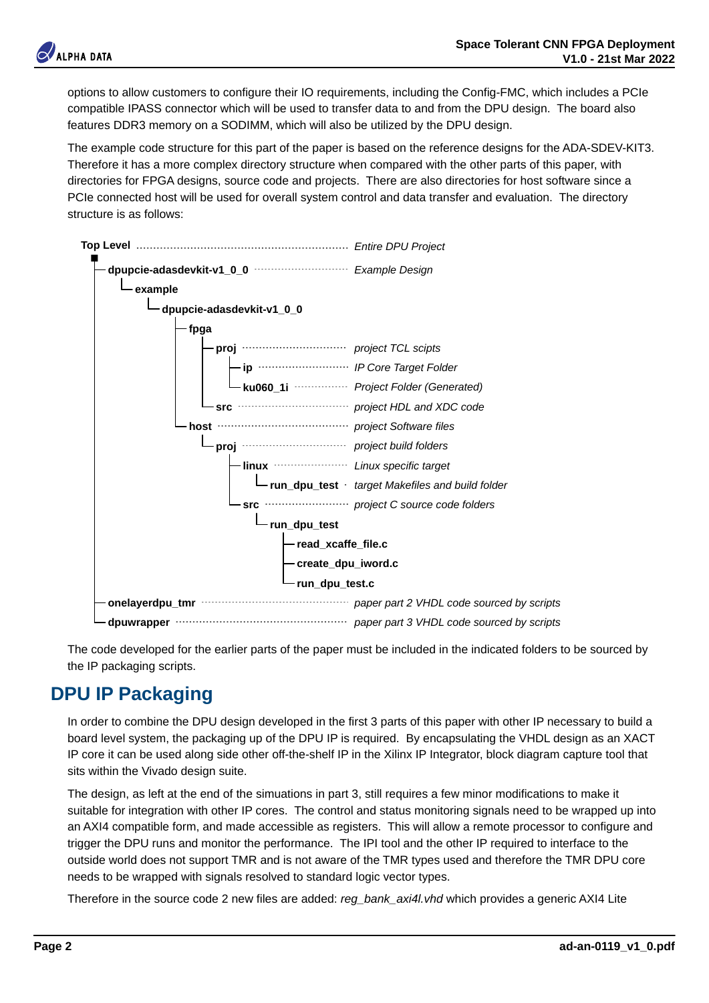

options to allow customers to configure their IO requirements, including the Config-FMC, which includes a PCIe compatible IPASS connector which will be used to transfer data to and from the DPU design. The board also features DDR3 memory on a SODIMM, which will also be utilized by the DPU design.

The example code structure for this part of the paper is based on the reference designs for the ADA-SDEV-KIT3. Therefore it has a more complex directory structure when compared with the other parts of this paper, with directories for FPGA designs, source code and projects. There are also directories for host software since a PCIe connected host will be used for overall system control and data transfer and evaluation. The directory structure is as follows:



The code developed for the earlier parts of the paper must be included in the indicated folders to be sourced by the IP packaging scripts.

#### **DPU IP Packaging**

In order to combine the DPU design developed in the first 3 parts of this paper with other IP necessary to build a board level system, the packaging up of the DPU IP is required. By encapsulating the VHDL design as an XACT IP core it can be used along side other off-the-shelf IP in the Xilinx IP Integrator, block diagram capture tool that sits within the Vivado design suite.

The design, as left at the end of the simuations in part 3, still requires a few minor modifications to make it suitable for integration with other IP cores. The control and status monitoring signals need to be wrapped up into an AXI4 compatible form, and made accessible as registers. This will allow a remote processor to configure and trigger the DPU runs and monitor the performance. The IPI tool and the other IP required to interface to the outside world does not support TMR and is not aware of the TMR types used and therefore the TMR DPU core needs to be wrapped with signals resolved to standard logic vector types.

Therefore in the source code 2 new files are added: *reg\_bank\_axi4l.vhd* which provides a generic AXI4 Lite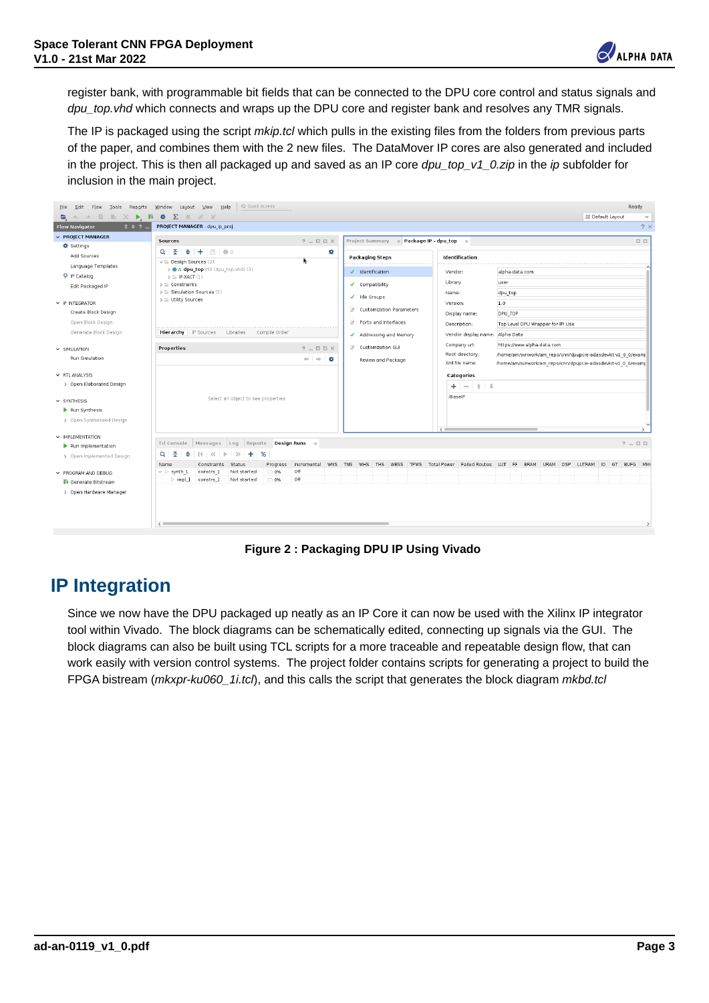

register bank, with programmable bit fields that can be connected to the DPU core control and status signals and *dpu\_top.vhd* which connects and wraps up the DPU core and register bank and resolves any TMR signals.

The IP is packaged using the script *mkip.tcl* which pulls in the existing files from the folders from previous parts of the paper, and combines them with the 2 new files. The DataMover IP cores are also generated and included in the project. This is then all packaged up and saved as an IP core *dpu\_top\_v1\_0.zip* in the *ip* subfolder for inclusion in the main project.

| BOX Flow Tools Reports                                              | gender taped you got the installation                                                                                                         |                          |                                                                                                                 |                                                                                             |                                                          |                   | <b>BANAL</b> |
|---------------------------------------------------------------------|-----------------------------------------------------------------------------------------------------------------------------------------------|--------------------------|-----------------------------------------------------------------------------------------------------------------|---------------------------------------------------------------------------------------------|----------------------------------------------------------|-------------------|--------------|
| <b>Q + + B B X B B Q X X V X</b>                                    |                                                                                                                                               |                          |                                                                                                                 |                                                                                             |                                                          | to behave carried | $\sim$       |
| 1.12.7<br>Flow Mevigator                                            | <b>PRODUCT HANNAGER</b> . dog to artist                                                                                                       |                          |                                                                                                                 |                                                                                             |                                                          |                   | 2.1          |
| <b>C. PRIVATE MANAGER</b>                                           | <b>SHEET</b>                                                                                                                                  | $2 - 00X$                | Freied Summary at Package P - Opa for a                                                                         |                                                                                             |                                                          |                   | 日日           |
| O terms<br>AA4 hoursel                                              | $Q$ $Q$ $Q$ $Q$ $Q$ $Q$ $Q$ $Q$ $Q$ $Q$<br>will Senior Governor (2)                                                                           | ٠                        | <b>Findinghos Mores</b><br>.                                                                                    | <b><i>Mark Band May</i></b>                                                                 |                                                          |                   |              |
| Language Senghase<br>1.0 A does head to him, how that the           |                                                                                                                                               | <b>J. Mandiffication</b> | Venton                                                                                                          | Without Area com                                                                            |                                                          |                   |              |
| O in catalog<br><b>BBEFICKNOCK P</b>                                | <b>LE PANT (L)</b><br>y G. Constructor<br>y to Greateries George (1)                                                                          |                          | <b>J. Complete</b><br>A. Pila Groups<br>18 Customerse Panamatani<br>18 Ports and Marketan                       | Litrans<br><b>Statute</b><br><b>Lincolnut</b><br>Colorado Martial<br>Percentage             | <b>State</b><br>dou tap                                  |                   |              |
| A 10 MINUTES                                                        | y to three Secretary                                                                                                                          |                          |                                                                                                                 |                                                                                             | 1.o                                                      |                   |              |
| Create Next Denim                                                   |                                                                                                                                               |                          |                                                                                                                 |                                                                                             | ince non-                                                |                   |              |
| Great Black Caralyn                                                 |                                                                                                                                               |                          |                                                                                                                 |                                                                                             | The cover once responsible in court                      |                   |              |
| General's North Eastern                                             | Henryby P.Source Libraries Compile Online                                                                                                     |                          | Addressing and Maryney                                                                                          | Vendor dealer name: Shi've Date                                                             |                                                          |                   |              |
|                                                                     |                                                                                                                                               |                          | 18 Customers Co.                                                                                                | Company of:                                                                                 | Minny Parent with a club a contri-                       |                   |              |
| V. 100 LATING                                                       | Properties                                                                                                                                    | $2 - 00X$                |                                                                                                                 | Fost drectory.                                                                              | homelan/synortian resoluteliscenin education of 3 Simons |                   |              |
| For Tradebin<br>y 60 March                                          |                                                                                                                                               | $-1 - 8$                 | <b>Review and Parkans</b>                                                                                       | WIS ON SWOLL<br>Associations of the record of the advertising of the analysis<br>Cobogories |                                                          |                   |              |
| > Open Elaborated Besign                                            |                                                                                                                                               |                          |                                                                                                                 | $+ - + +$                                                                                   |                                                          |                   |              |
|                                                                     |                                                                                                                                               |                          |                                                                                                                 | <b>Based</b>                                                                                |                                                          |                   |              |
| A DAVAGE                                                            | belief an street to see properties                                                                                                            |                          |                                                                                                                 |                                                                                             |                                                          |                   |              |
| <b>F</b> For Systems                                                |                                                                                                                                               |                          |                                                                                                                 |                                                                                             |                                                          |                   |              |
| 3 Carer Systhesized Deniser                                         |                                                                                                                                               |                          |                                                                                                                 | <b>COMPANY</b>                                                                              |                                                          |                   |              |
| y an estatetic                                                      |                                                                                                                                               |                          |                                                                                                                 |                                                                                             |                                                          |                   |              |
| P Fun Implementation                                                | Editoriale Hennages Log Reports Designiture x                                                                                                 |                          |                                                                                                                 |                                                                                             |                                                          |                   | $7 - 00$     |
| a cost reperented people                                            | $0 + 6$<br>$14$ $0$ $14$ $10$ $0$ $0$                                                                                                         |                          |                                                                                                                 |                                                                                             |                                                          |                   |              |
| + PROGRAM MO DEBUG<br>El Geranda Motraen<br>1 Court Hamburg Manager | Contracts Gate<br><b>Hene</b><br><b>had started</b><br>$v > \text{rank}$<br>comb's 1<br>$-96$<br>is real 1 company 1<br>has started<br>11.05% | or<br>$^{16}$            | Program incremental WAS TAS and Tell WBSS TPAS TotalPrope PaletRootes (47 PF 6804 UNIX COP LLTNG) 10 ST 5070 MM |                                                                                             |                                                          |                   |              |
|                                                                     | $\sim$                                                                                                                                        |                          |                                                                                                                 |                                                                                             |                                                          |                   |              |

**Figure 2 : Packaging DPU IP Using Vivado**

#### **IP Integration**

Since we now have the DPU packaged up neatly as an IP Core it can now be used with the Xilinx IP integrator tool within Vivado. The block diagrams can be schematically edited, connecting up signals via the GUI. The block diagrams can also be built using TCL scripts for a more traceable and repeatable design flow, that can work easily with version control systems. The project folder contains scripts for generating a project to build the FPGA bistream (*mkxpr-ku060\_1i.tcl*), and this calls the script that generates the block diagram *mkbd.tcl*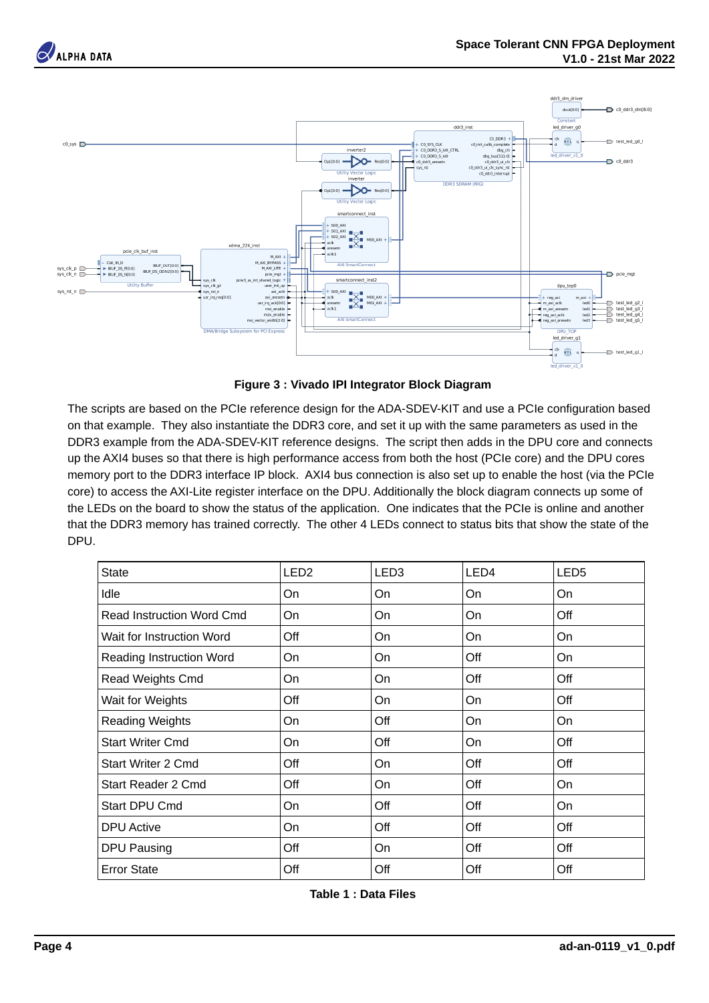







The scripts are based on the PCIe reference design for the ADA-SDEV-KIT and use a PCIe configuration based on that example. They also instantiate the DDR3 core, and set it up with the same parameters as used in the DDR3 example from the ADA-SDEV-KIT reference designs. The script then adds in the DPU core and connects up the AXI4 buses so that there is high performance access from both the host (PCIe core) and the DPU cores memory port to the DDR3 interface IP block. AXI4 bus connection is also set up to enable the host (via the PCIe core) to access the AXI-Lite register interface on the DPU. Additionally the block diagram connects up some of the LEDs on the board to show the status of the application. One indicates that the PCIe is online and another that the DDR3 memory has trained correctly. The other 4 LEDs connect to status bits that show the state of the DPU.

| State                     | LED <sub>2</sub> | LED3 | LED4 | LED5 |
|---------------------------|------------------|------|------|------|
| Idle                      | On               | On   | On   | On   |
| Read Instruction Word Cmd | On               | On   | On   | Off  |
| Wait for Instruction Word | Off              | On   | On   | On   |
| Reading Instruction Word  | On               | On   | Off  | On   |
| Read Weights Cmd          | On               | On   | Off  | Off  |
| Wait for Weights          | Off              | On   | On   | Off  |
| Reading Weights           | On               | Off  | On   | On   |
| Start Writer Cmd          | On               | Off  | On   | Off  |
| Start Writer 2 Cmd        | Off              | On   | Off  | Off  |
| Start Reader 2 Cmd        | Off              | On   | Off  | On   |
| Start DPU Cmd             | On               | Off  | Off  | On   |
| <b>DPU Active</b>         | On               | Off  | Off  | Off  |
| DPU Pausing               | Off              | On   | Off  | Off  |
| Error State               | Off              | Off  | Off  | Off  |

**Table 1 : Data Files**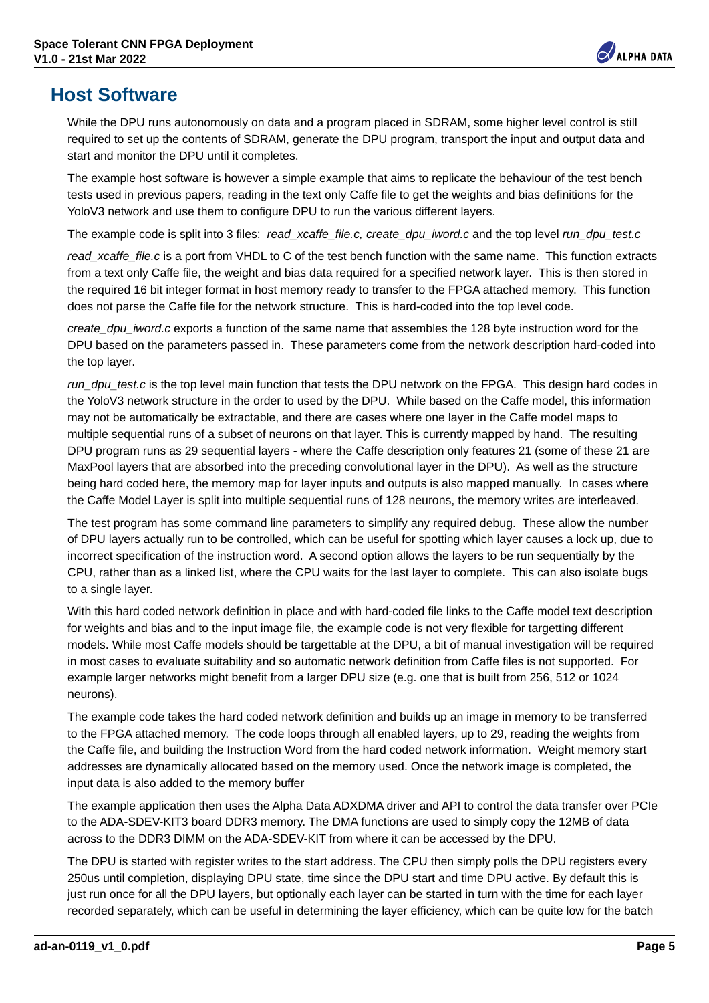

#### **Host Software**

While the DPU runs autonomously on data and a program placed in SDRAM, some higher level control is still required to set up the contents of SDRAM, generate the DPU program, transport the input and output data and start and monitor the DPU until it completes.

The example host software is however a simple example that aims to replicate the behaviour of the test bench tests used in previous papers, reading in the text only Caffe file to get the weights and bias definitions for the YoloV3 network and use them to configure DPU to run the various different layers.

The example code is split into 3 files: *read\_xcaffe\_file.c, create\_dpu\_iword.c* and the top level *run\_dpu\_test.c*

*read\_xcaffe\_file.c* is a port from VHDL to C of the test bench function with the same name. This function extracts from a text only Caffe file, the weight and bias data required for a specified network layer. This is then stored in the required 16 bit integer format in host memory ready to transfer to the FPGA attached memory. This function does not parse the Caffe file for the network structure. This is hard-coded into the top level code.

*create\_dpu\_iword.c* exports a function of the same name that assembles the 128 byte instruction word for the DPU based on the parameters passed in. These parameters come from the network description hard-coded into the top layer.

*run\_dpu\_test.c* is the top level main function that tests the DPU network on the FPGA. This design hard codes in the YoloV3 network structure in the order to used by the DPU. While based on the Caffe model, this information may not be automatically be extractable, and there are cases where one layer in the Caffe model maps to multiple sequential runs of a subset of neurons on that layer. This is currently mapped by hand. The resulting DPU program runs as 29 sequential layers - where the Caffe description only features 21 (some of these 21 are MaxPool layers that are absorbed into the preceding convolutional layer in the DPU). As well as the structure being hard coded here, the memory map for layer inputs and outputs is also mapped manually. In cases where the Caffe Model Layer is split into multiple sequential runs of 128 neurons, the memory writes are interleaved.

The test program has some command line parameters to simplify any required debug. These allow the number of DPU layers actually run to be controlled, which can be useful for spotting which layer causes a lock up, due to incorrect specification of the instruction word. A second option allows the layers to be run sequentially by the CPU, rather than as a linked list, where the CPU waits for the last layer to complete. This can also isolate bugs to a single layer.

With this hard coded network definition in place and with hard-coded file links to the Caffe model text description for weights and bias and to the input image file, the example code is not very flexible for targetting different models. While most Caffe models should be targettable at the DPU, a bit of manual investigation will be required in most cases to evaluate suitability and so automatic network definition from Caffe files is not supported. For example larger networks might benefit from a larger DPU size (e.g. one that is built from 256, 512 or 1024 neurons).

The example code takes the hard coded network definition and builds up an image in memory to be transferred to the FPGA attached memory. The code loops through all enabled layers, up to 29, reading the weights from the Caffe file, and building the Instruction Word from the hard coded network information. Weight memory start addresses are dynamically allocated based on the memory used. Once the network image is completed, the input data is also added to the memory buffer

The example application then uses the Alpha Data ADXDMA driver and API to control the data transfer over PCIe to the ADA-SDEV-KIT3 board DDR3 memory. The DMA functions are used to simply copy the 12MB of data across to the DDR3 DIMM on the ADA-SDEV-KIT from where it can be accessed by the DPU.

The DPU is started with register writes to the start address. The CPU then simply polls the DPU registers every 250us until completion, displaying DPU state, time since the DPU start and time DPU active. By default this is just run once for all the DPU layers, but optionally each layer can be started in turn with the time for each layer recorded separately, which can be useful in determining the layer efficiency, which can be quite low for the batch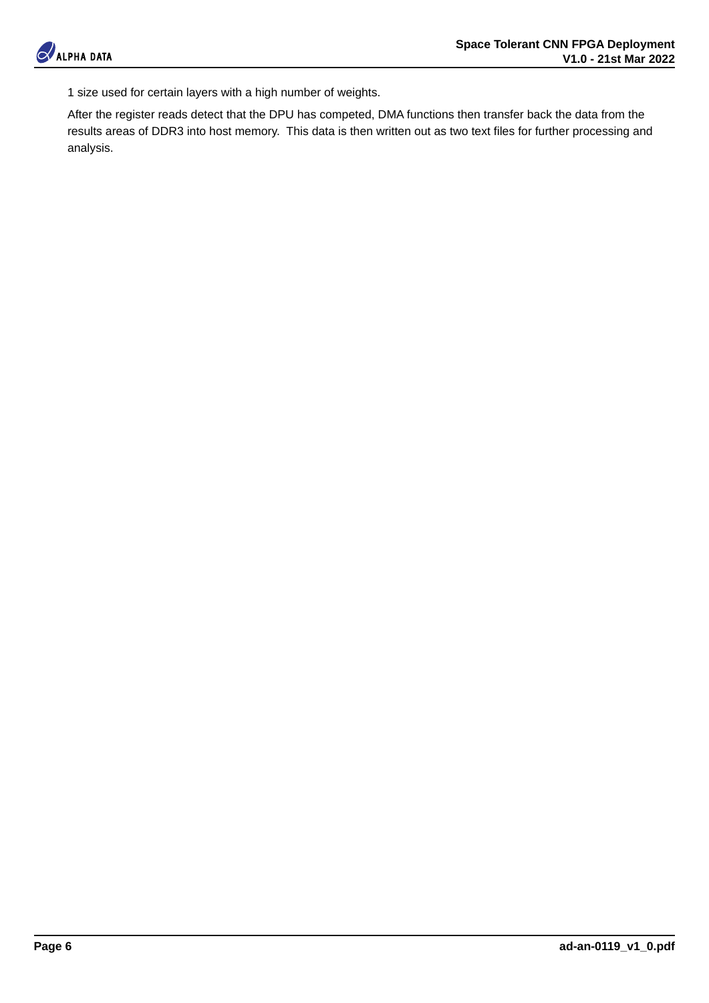

1 size used for certain layers with a high number of weights.

After the register reads detect that the DPU has competed, DMA functions then transfer back the data from the results areas of DDR3 into host memory. This data is then written out as two text files for further processing and analysis.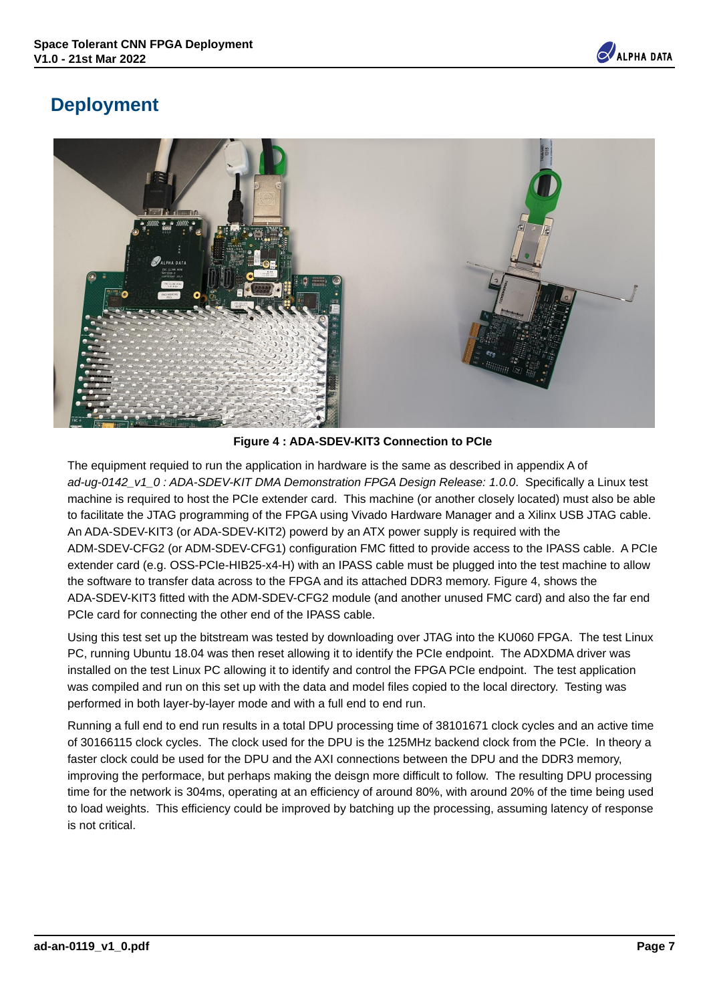

#### **Deployment**



**Figure 4 : ADA-SDEV-KIT3 Connection to PCIe**

The equipment requied to run the application in hardware is the same as described in appendix A of *ad-ug-0142\_v1\_0 : ADA-SDEV-KIT DMA Demonstration FPGA Design Release: 1.0.0*. Specifically a Linux test machine is required to host the PCIe extender card. This machine (or another closely located) must also be able to facilitate the JTAG programming of the FPGA using Vivado Hardware Manager and a Xilinx USB JTAG cable. An ADA-SDEV-KIT3 (or ADA-SDEV-KIT2) powerd by an ATX power supply is required with the ADM-SDEV-CFG2 (or ADM-SDEV-CFG1) configuration FMC fitted to provide access to the IPASS cable. A PCIe extender card (e.g. OSS-PCIe-HIB25-x4-H) with an IPASS cable must be plugged into the test machine to allow the software to transfer data across to the FPGA and its attached DDR3 memory. Figure 4, shows the ADA-SDEV-KIT3 fitted with the ADM-SDEV-CFG2 module (and another unused FMC card) and also the far end PCIe card for connecting the other end of the IPASS cable.

Using this test set up the bitstream was tested by downloading over JTAG into the KU060 FPGA. The test Linux PC, running Ubuntu 18.04 was then reset allowing it to identify the PCIe endpoint. The ADXDMA driver was installed on the test Linux PC allowing it to identify and control the FPGA PCIe endpoint. The test application was compiled and run on this set up with the data and model files copied to the local directory. Testing was performed in both layer-by-layer mode and with a full end to end run.

Running a full end to end run results in a total DPU processing time of 38101671 clock cycles and an active time of 30166115 clock cycles. The clock used for the DPU is the 125MHz backend clock from the PCIe. In theory a faster clock could be used for the DPU and the AXI connections between the DPU and the DDR3 memory, improving the performace, but perhaps making the deisgn more difficult to follow. The resulting DPU processing time for the network is 304ms, operating at an efficiency of around 80%, with around 20% of the time being used to load weights. This efficiency could be improved by batching up the processing, assuming latency of response is not critical.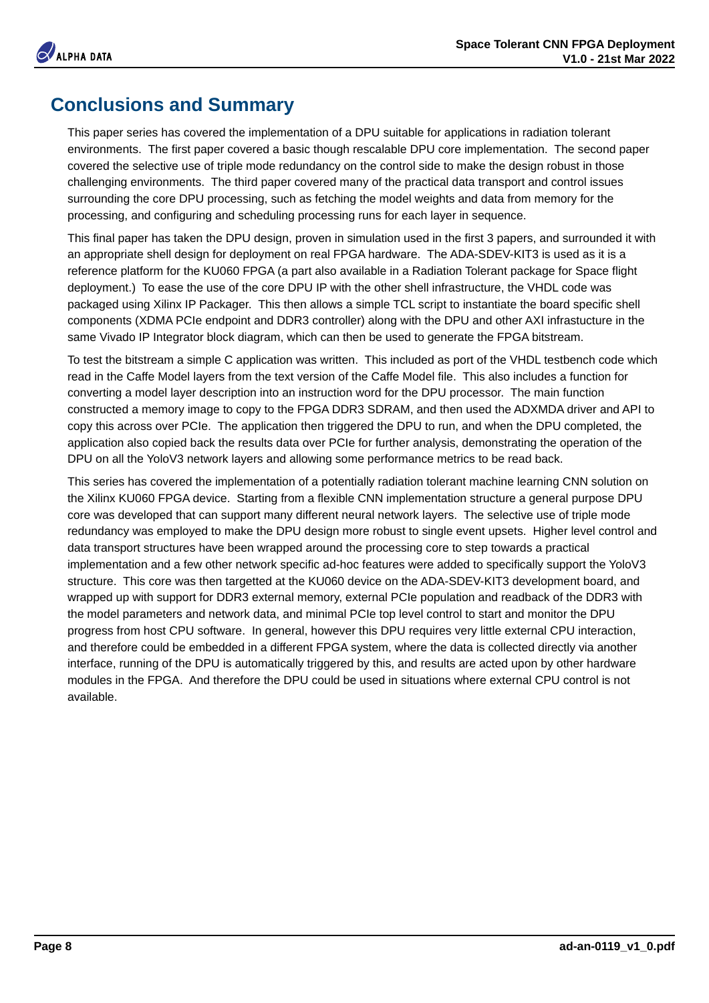### **Conclusions and Summary**

This paper series has covered the implementation of a DPU suitable for applications in radiation tolerant environments. The first paper covered a basic though rescalable DPU core implementation. The second paper covered the selective use of triple mode redundancy on the control side to make the design robust in those challenging environments. The third paper covered many of the practical data transport and control issues surrounding the core DPU processing, such as fetching the model weights and data from memory for the processing, and configuring and scheduling processing runs for each layer in sequence.

This final paper has taken the DPU design, proven in simulation used in the first 3 papers, and surrounded it with an appropriate shell design for deployment on real FPGA hardware. The ADA-SDEV-KIT3 is used as it is a reference platform for the KU060 FPGA (a part also available in a Radiation Tolerant package for Space flight deployment.) To ease the use of the core DPU IP with the other shell infrastructure, the VHDL code was packaged using Xilinx IP Packager. This then allows a simple TCL script to instantiate the board specific shell components (XDMA PCIe endpoint and DDR3 controller) along with the DPU and other AXI infrastucture in the same Vivado IP Integrator block diagram, which can then be used to generate the FPGA bitstream.

To test the bitstream a simple C application was written. This included as port of the VHDL testbench code which read in the Caffe Model layers from the text version of the Caffe Model file. This also includes a function for converting a model layer description into an instruction word for the DPU processor. The main function constructed a memory image to copy to the FPGA DDR3 SDRAM, and then used the ADXMDA driver and API to copy this across over PCIe. The application then triggered the DPU to run, and when the DPU completed, the application also copied back the results data over PCIe for further analysis, demonstrating the operation of the DPU on all the YoloV3 network layers and allowing some performance metrics to be read back.

This series has covered the implementation of a potentially radiation tolerant machine learning CNN solution on the Xilinx KU060 FPGA device. Starting from a flexible CNN implementation structure a general purpose DPU core was developed that can support many different neural network layers. The selective use of triple mode redundancy was employed to make the DPU design more robust to single event upsets. Higher level control and data transport structures have been wrapped around the processing core to step towards a practical implementation and a few other network specific ad-hoc features were added to specifically support the YoloV3 structure. This core was then targetted at the KU060 device on the ADA-SDEV-KIT3 development board, and wrapped up with support for DDR3 external memory, external PCIe population and readback of the DDR3 with the model parameters and network data, and minimal PCIe top level control to start and monitor the DPU progress from host CPU software. In general, however this DPU requires very little external CPU interaction, and therefore could be embedded in a different FPGA system, where the data is collected directly via another interface, running of the DPU is automatically triggered by this, and results are acted upon by other hardware modules in the FPGA. And therefore the DPU could be used in situations where external CPU control is not available.